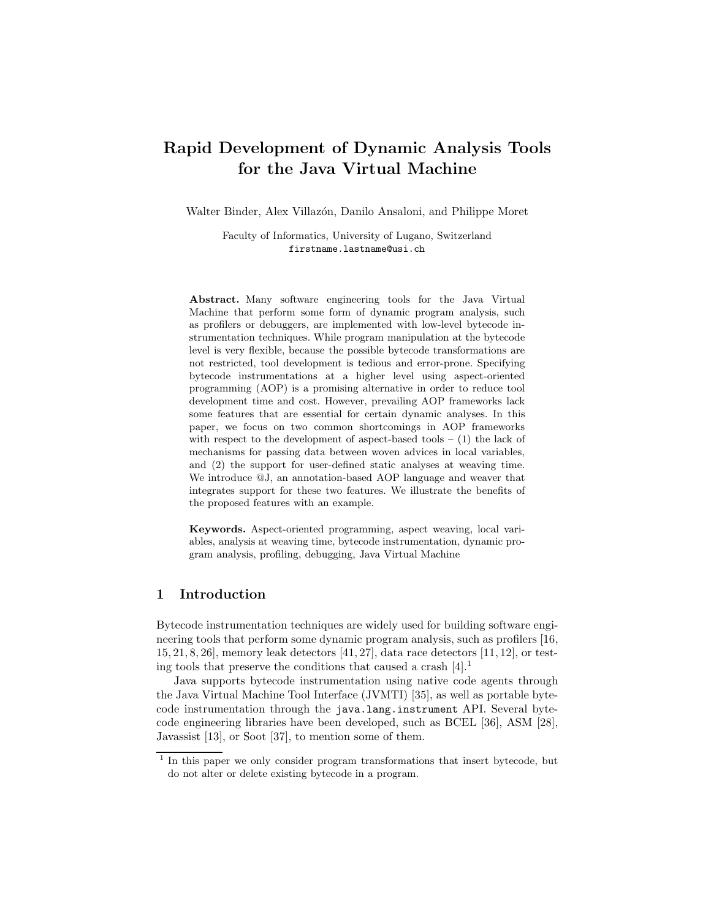# **Rapid Development of Dynamic Analysis Tools for the Java Virtual Machine**

Walter Binder, Alex Villazón, Danilo Ansaloni, and Philippe Moret

Faculty of Informatics, University of Lugano, Switzerland firstname.lastname@usi.ch

**Abstract.** Many software engineering tools for the Java Virtual Machine that perform some form of dynamic program analysis, such as profilers or debuggers, are implemented with low-level bytecode instrumentation techniques. While program manipulation at the bytecode level is very flexible, because the possible bytecode transformations are not restricted, tool development is tedious and error-prone. Specifying bytecode instrumentations at a higher level using aspect-oriented programming (AOP) is a promising alternative in order to reduce tool development time and cost. However, prevailing AOP frameworks lack some features that are essential for certain dynamic analyses. In this paper, we focus on two common shortcomings in AOP frameworks with respect to the development of aspect-based tools  $- (1)$  the lack of mechanisms for passing data between woven advices in local variables, and (2) the support for user-defined static analyses at weaving time. We introduce @J, an annotation-based AOP language and weaver that integrates support for these two features. We illustrate the benefits of the proposed features with an example.

**Keywords.** Aspect-oriented programming, aspect weaving, local variables, analysis at weaving time, bytecode instrumentation, dynamic program analysis, profiling, debugging, Java Virtual Machine

# **1 Introduction**

Bytecode instrumentation techniques are widely used for building software engineering tools that perform some dynamic program analysis, such as profilers [16, 15,21,8,26], memory leak detectors [41,27], data race detectors [11,12], or testing tools that preserve the conditions that caused a crash  $[4].<sup>1</sup>$ 

Java supports bytecode instrumentation using native code agents through the Java Virtual Machine Tool Interface (JVMTI) [35], as well as portable bytecode instrumentation through the java.lang.instrument API. Several bytecode engineering libraries have been developed, such as BCEL [36], ASM [28], Javassist [13], or Soot [37], to mention some of them.

<sup>1</sup> In this paper we only consider program transformations that insert bytecode, but do not alter or delete existing bytecode in a program.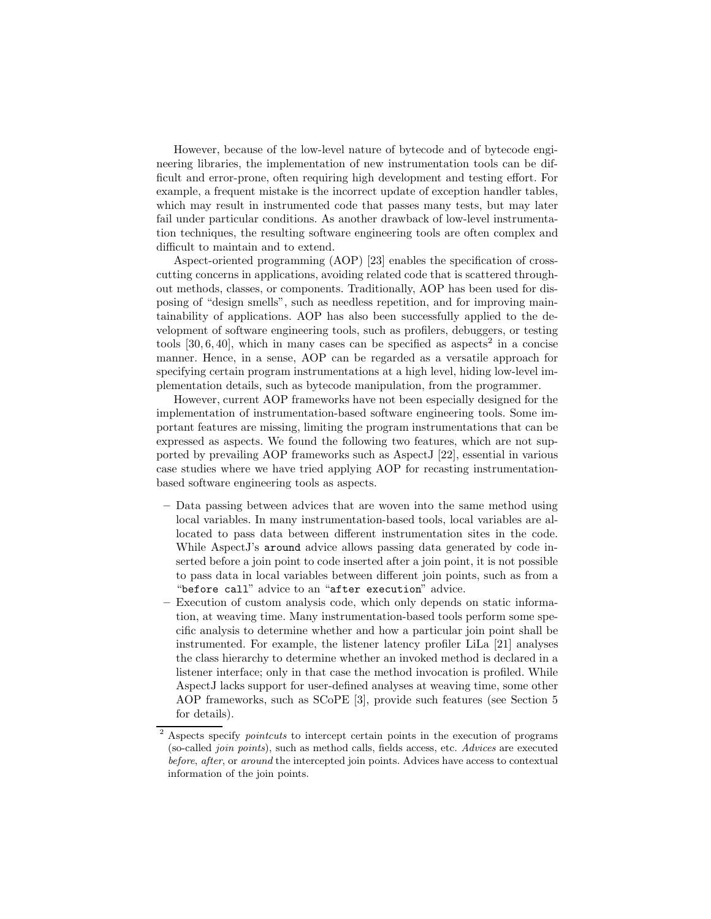However, because of the low-level nature of bytecode and of bytecode engineering libraries, the implementation of new instrumentation tools can be difficult and error-prone, often requiring high development and testing effort. For example, a frequent mistake is the incorrect update of exception handler tables, which may result in instrumented code that passes many tests, but may later fail under particular conditions. As another drawback of low-level instrumentation techniques, the resulting software engineering tools are often complex and difficult to maintain and to extend.

Aspect-oriented programming (AOP) [23] enables the specification of crosscutting concerns in applications, avoiding related code that is scattered throughout methods, classes, or components. Traditionally, AOP has been used for disposing of "design smells", such as needless repetition, and for improving maintainability of applications. AOP has also been successfully applied to the development of software engineering tools, such as profilers, debuggers, or testing tools  $[30,6,40]$ , which in many cases can be specified as aspects<sup>2</sup> in a concise manner. Hence, in a sense, AOP can be regarded as a versatile approach for specifying certain program instrumentations at a high level, hiding low-level implementation details, such as bytecode manipulation, from the programmer.

However, current AOP frameworks have not been especially designed for the implementation of instrumentation-based software engineering tools. Some important features are missing, limiting the program instrumentations that can be expressed as aspects. We found the following two features, which are not supported by prevailing AOP frameworks such as AspectJ [22], essential in various case studies where we have tried applying AOP for recasting instrumentationbased software engineering tools as aspects.

- **–** Data passing between advices that are woven into the same method using local variables. In many instrumentation-based tools, local variables are allocated to pass data between different instrumentation sites in the code. While AspectJ's around advice allows passing data generated by code inserted before a join point to code inserted after a join point, it is not possible to pass data in local variables between different join points, such as from a "before call" advice to an "after execution" advice.
- **–** Execution of custom analysis code, which only depends on static information, at weaving time. Many instrumentation-based tools perform some specific analysis to determine whether and how a particular join point shall be instrumented. For example, the listener latency profiler LiLa [21] analyses the class hierarchy to determine whether an invoked method is declared in a listener interface; only in that case the method invocation is profiled. While AspectJ lacks support for user-defined analyses at weaving time, some other AOP frameworks, such as SCoPE [3], provide such features (see Section 5 for details).

<sup>2</sup> Aspects specify *pointcuts* to intercept certain points in the execution of programs (so-called *join points*), such as method calls, fields access, etc. *Advices* are executed *before*, *after*, or *around* the intercepted join points. Advices have access to contextual information of the join points.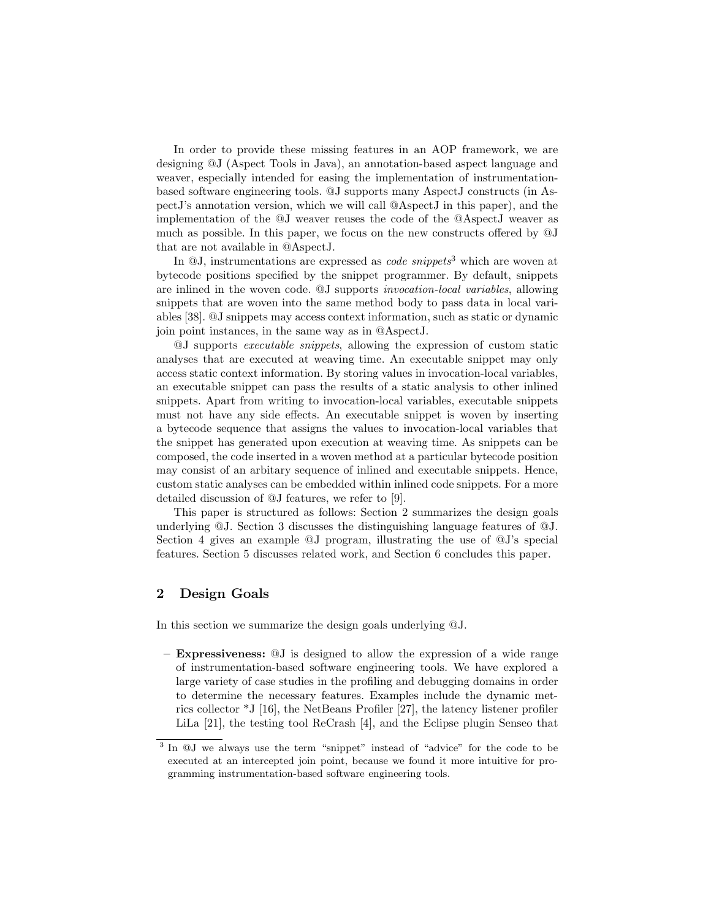In order to provide these missing features in an AOP framework, we are designing @J (Aspect Tools in Java), an annotation-based aspect language and weaver, especially intended for easing the implementation of instrumentationbased software engineering tools. @J supports many AspectJ constructs (in AspectJ's annotation version, which we will call @AspectJ in this paper), and the implementation of the @J weaver reuses the code of the @AspectJ weaver as much as possible. In this paper, we focus on the new constructs offered by @J that are not available in @AspectJ.

In @J, instrumentations are expressed as *code snippets*<sup>3</sup> which are woven at bytecode positions specified by the snippet programmer. By default, snippets are inlined in the woven code. @J supports *invocation-local variables*, allowing snippets that are woven into the same method body to pass data in local variables [38]. @J snippets may access context information, such as static or dynamic join point instances, in the same way as in @AspectJ.

@J supports *executable snippets*, allowing the expression of custom static analyses that are executed at weaving time. An executable snippet may only access static context information. By storing values in invocation-local variables, an executable snippet can pass the results of a static analysis to other inlined snippets. Apart from writing to invocation-local variables, executable snippets must not have any side effects. An executable snippet is woven by inserting a bytecode sequence that assigns the values to invocation-local variables that the snippet has generated upon execution at weaving time. As snippets can be composed, the code inserted in a woven method at a particular bytecode position may consist of an arbitary sequence of inlined and executable snippets. Hence, custom static analyses can be embedded within inlined code snippets. For a more detailed discussion of @J features, we refer to [9].

This paper is structured as follows: Section 2 summarizes the design goals underlying @J. Section 3 discusses the distinguishing language features of @J. Section 4 gives an example @J program, illustrating the use of @J's special features. Section 5 discusses related work, and Section 6 concludes this paper.

# **2 Design Goals**

In this section we summarize the design goals underlying @J.

**– Expressiveness:** @J is designed to allow the expression of a wide range of instrumentation-based software engineering tools. We have explored a large variety of case studies in the profiling and debugging domains in order to determine the necessary features. Examples include the dynamic metrics collector \*J [16], the NetBeans Profiler [27], the latency listener profiler LiLa [21], the testing tool ReCrash [4], and the Eclipse plugin Senseo that

<sup>3</sup> In @J we always use the term "snippet" instead of "advice" for the code to be executed at an intercepted join point, because we found it more intuitive for programming instrumentation-based software engineering tools.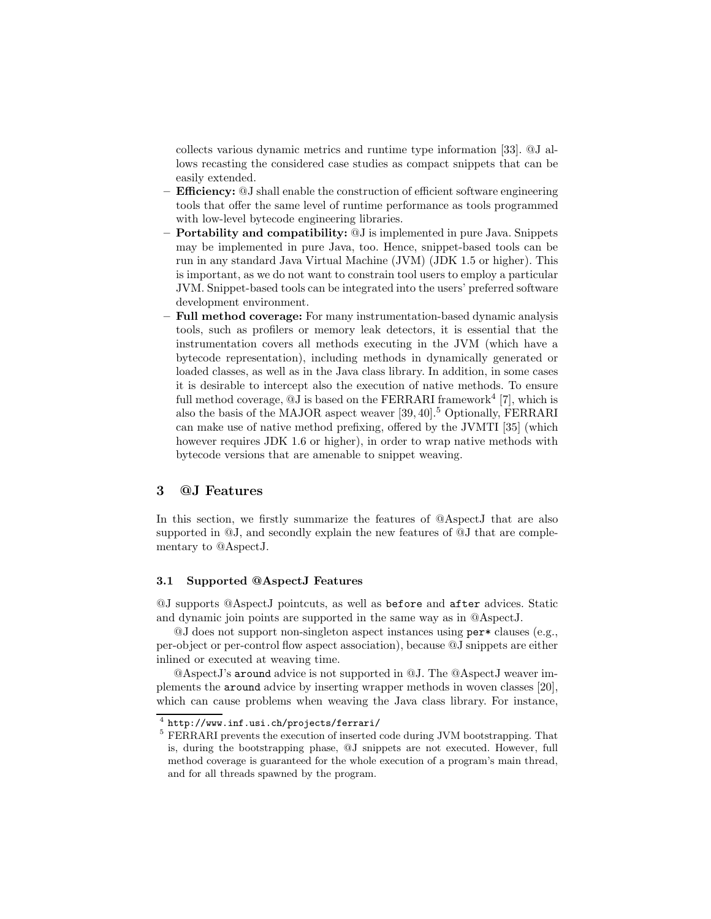collects various dynamic metrics and runtime type information [33]. @J allows recasting the considered case studies as compact snippets that can be easily extended.

- **Efficiency:** @J shall enable the construction of efficient software engineering tools that offer the same level of runtime performance as tools programmed with low-level bytecode engineering libraries.
- **Portability and compatibility:** @J is implemented in pure Java. Snippets may be implemented in pure Java, too. Hence, snippet-based tools can be run in any standard Java Virtual Machine (JVM) (JDK 1.5 or higher). This is important, as we do not want to constrain tool users to employ a particular JVM. Snippet-based tools can be integrated into the users' preferred software development environment.
- **Full method coverage:** For many instrumentation-based dynamic analysis tools, such as profilers or memory leak detectors, it is essential that the instrumentation covers all methods executing in the JVM (which have a bytecode representation), including methods in dynamically generated or loaded classes, as well as in the Java class library. In addition, in some cases it is desirable to intercept also the execution of native methods. To ensure full method coverage,  $@J$  is based on the FERRARI framework<sup>4</sup> [7], which is also the basis of the MAJOR aspect weaver [39,40].<sup>5</sup> Optionally, FERRARI can make use of native method prefixing, offered by the JVMTI [35] (which however requires JDK 1.6 or higher), in order to wrap native methods with bytecode versions that are amenable to snippet weaving.

# **3 @J Features**

In this section, we firstly summarize the features of @AspectJ that are also supported in  $\mathcal{Q}J$ , and secondly explain the new features of  $\mathcal{Q}J$  that are complementary to @AspectJ.

#### **3.1 Supported @AspectJ Features**

@J supports @AspectJ pointcuts, as well as before and after advices. Static and dynamic join points are supported in the same way as in @AspectJ.

@J does not support non-singleton aspect instances using per\* clauses (e.g., per-object or per-control flow aspect association), because @J snippets are either inlined or executed at weaving time.

@AspectJ's around advice is not supported in @J. The @AspectJ weaver implements the around advice by inserting wrapper methods in woven classes [20], which can cause problems when weaving the Java class library. For instance,

<sup>4</sup> http://www.inf.usi.ch/projects/ferrari/

<sup>5</sup> FERRARI prevents the execution of inserted code during JVM bootstrapping. That is, during the bootstrapping phase, @J snippets are not executed. However, full method coverage is guaranteed for the whole execution of a program's main thread, and for all threads spawned by the program.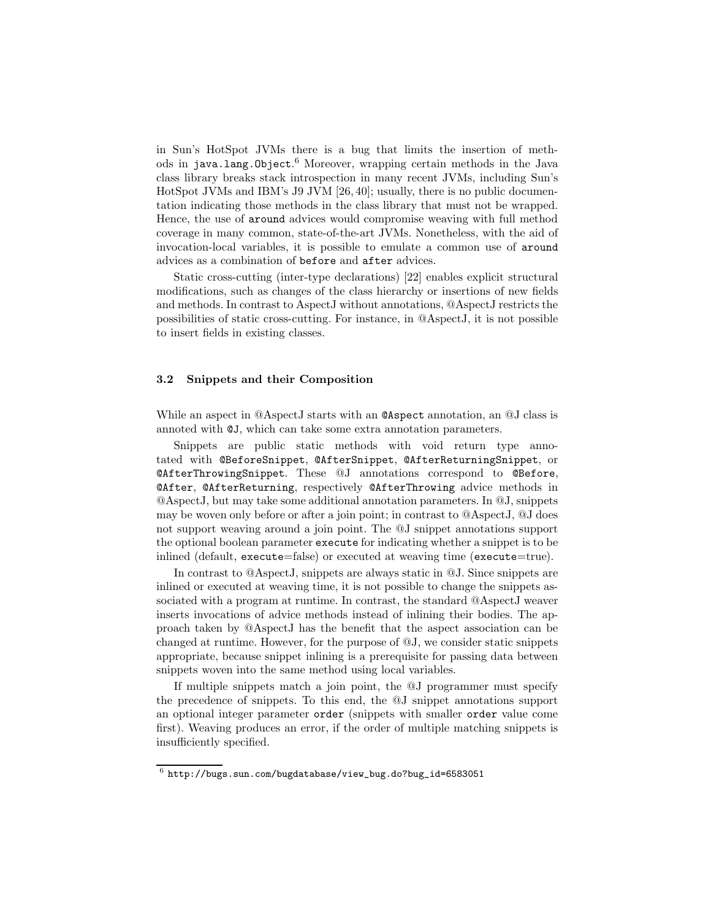in Sun's HotSpot JVMs there is a bug that limits the insertion of methods in java.lang.Object. <sup>6</sup> Moreover, wrapping certain methods in the Java class library breaks stack introspection in many recent JVMs, including Sun's HotSpot JVMs and IBM's J9 JVM [26,40]; usually, there is no public documentation indicating those methods in the class library that must not be wrapped. Hence, the use of around advices would compromise weaving with full method coverage in many common, state-of-the-art JVMs. Nonetheless, with the aid of invocation-local variables, it is possible to emulate a common use of around advices as a combination of before and after advices.

Static cross-cutting (inter-type declarations) [22] enables explicit structural modifications, such as changes of the class hierarchy or insertions of new fields and methods. In contrast to AspectJ without annotations, @AspectJ restricts the possibilities of static cross-cutting. For instance, in @AspectJ, it is not possible to insert fields in existing classes.

#### **3.2 Snippets and their Composition**

While an aspect in @AspectJ starts with an @Aspect annotation, an @J class is annoted with @J, which can take some extra annotation parameters.

Snippets are public static methods with void return type annotated with @BeforeSnippet, @AfterSnippet, @AfterReturningSnippet, or @AfterThrowingSnippet. These @J annotations correspond to @Before, @After, @AfterReturning, respectively @AfterThrowing advice methods in @AspectJ, but may take some additional annotation parameters. In @J, snippets may be woven only before or after a join point; in contrast to @AspectJ, @J does not support weaving around a join point. The @J snippet annotations support the optional boolean parameter execute for indicating whether a snippet is to be inlined (default, execute=false) or executed at weaving time (execute=true).

In contrast to @AspectJ, snippets are always static in @J. Since snippets are inlined or executed at weaving time, it is not possible to change the snippets associated with a program at runtime. In contrast, the standard @AspectJ weaver inserts invocations of advice methods instead of inlining their bodies. The approach taken by @AspectJ has the benefit that the aspect association can be changed at runtime. However, for the purpose of @J, we consider static snippets appropriate, because snippet inlining is a prerequisite for passing data between snippets woven into the same method using local variables.

If multiple snippets match a join point, the @J programmer must specify the precedence of snippets. To this end, the @J snippet annotations support an optional integer parameter order (snippets with smaller order value come first). Weaving produces an error, if the order of multiple matching snippets is insufficiently specified.

 $6$  http://bugs.sun.com/bugdatabase/view\_bug.do?bug\_id=6583051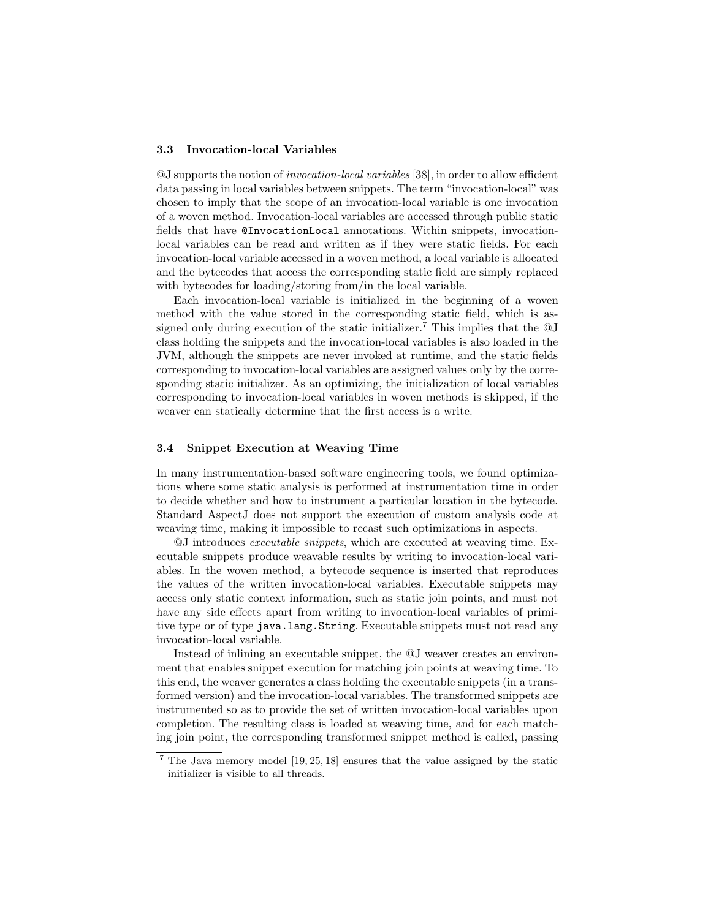#### **3.3 Invocation-local Variables**

@J supports the notion of *invocation-local variables* [38], in order to allow efficient data passing in local variables between snippets. The term "invocation-local" was chosen to imply that the scope of an invocation-local variable is one invocation of a woven method. Invocation-local variables are accessed through public static fields that have @InvocationLocal annotations. Within snippets, invocationlocal variables can be read and written as if they were static fields. For each invocation-local variable accessed in a woven method, a local variable is allocated and the bytecodes that access the corresponding static field are simply replaced with bytecodes for loading/storing from/in the local variable.

Each invocation-local variable is initialized in the beginning of a woven method with the value stored in the corresponding static field, which is assigned only during execution of the static initializer.<sup>7</sup> This implies that the  $\mathcal{Q}J$ class holding the snippets and the invocation-local variables is also loaded in the JVM, although the snippets are never invoked at runtime, and the static fields corresponding to invocation-local variables are assigned values only by the corresponding static initializer. As an optimizing, the initialization of local variables corresponding to invocation-local variables in woven methods is skipped, if the weaver can statically determine that the first access is a write.

#### **3.4 Snippet Execution at Weaving Time**

In many instrumentation-based software engineering tools, we found optimizations where some static analysis is performed at instrumentation time in order to decide whether and how to instrument a particular location in the bytecode. Standard AspectJ does not support the execution of custom analysis code at weaving time, making it impossible to recast such optimizations in aspects.

@J introduces *executable snippets*, which are executed at weaving time. Executable snippets produce weavable results by writing to invocation-local variables. In the woven method, a bytecode sequence is inserted that reproduces the values of the written invocation-local variables. Executable snippets may access only static context information, such as static join points, and must not have any side effects apart from writing to invocation-local variables of primitive type or of type java.lang.String. Executable snippets must not read any invocation-local variable.

Instead of inlining an executable snippet, the @J weaver creates an environment that enables snippet execution for matching join points at weaving time. To this end, the weaver generates a class holding the executable snippets (in a transformed version) and the invocation-local variables. The transformed snippets are instrumented so as to provide the set of written invocation-local variables upon completion. The resulting class is loaded at weaving time, and for each matching join point, the corresponding transformed snippet method is called, passing

<sup>7</sup> The Java memory model [19, 25, 18] ensures that the value assigned by the static initializer is visible to all threads.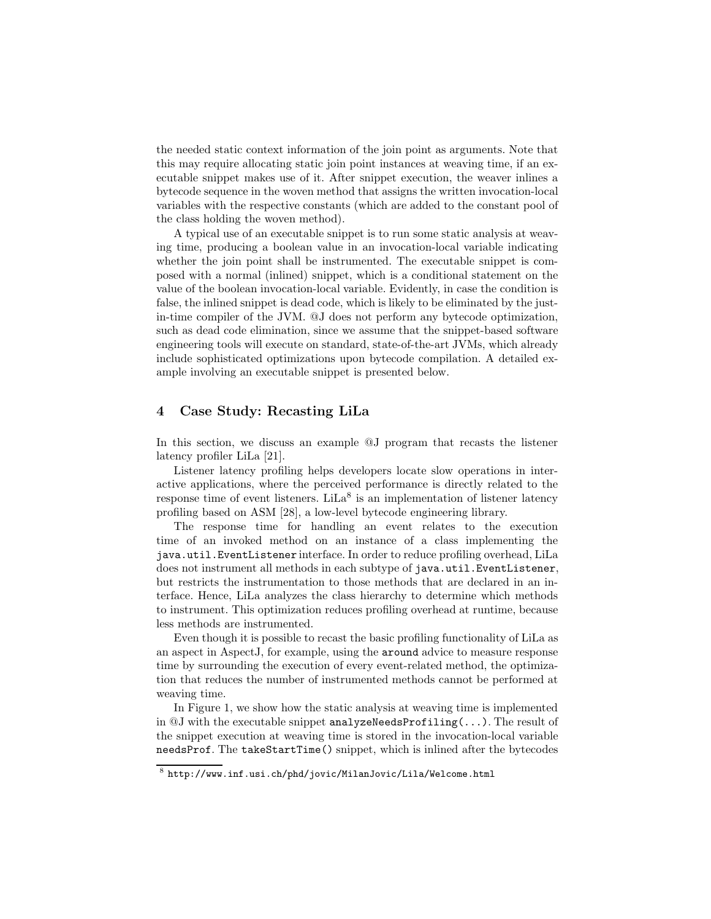the needed static context information of the join point as arguments. Note that this may require allocating static join point instances at weaving time, if an executable snippet makes use of it. After snippet execution, the weaver inlines a bytecode sequence in the woven method that assigns the written invocation-local variables with the respective constants (which are added to the constant pool of the class holding the woven method).

A typical use of an executable snippet is to run some static analysis at weaving time, producing a boolean value in an invocation-local variable indicating whether the join point shall be instrumented. The executable snippet is composed with a normal (inlined) snippet, which is a conditional statement on the value of the boolean invocation-local variable. Evidently, in case the condition is false, the inlined snippet is dead code, which is likely to be eliminated by the justin-time compiler of the JVM. @J does not perform any bytecode optimization, such as dead code elimination, since we assume that the snippet-based software engineering tools will execute on standard, state-of-the-art JVMs, which already include sophisticated optimizations upon bytecode compilation. A detailed example involving an executable snippet is presented below.

# **4 Case Study: Recasting LiLa**

In this section, we discuss an example @J program that recasts the listener latency profiler LiLa [21].

Listener latency profiling helps developers locate slow operations in interactive applications, where the perceived performance is directly related to the response time of event listeners. LiLa<sup>8</sup> is an implementation of listener latency profiling based on ASM [28], a low-level bytecode engineering library.

The response time for handling an event relates to the execution time of an invoked method on an instance of a class implementing the java.util.EventListener interface. In order to reduce profiling overhead, LiLa does not instrument all methods in each subtype of java.util.EventListener, but restricts the instrumentation to those methods that are declared in an interface. Hence, LiLa analyzes the class hierarchy to determine which methods to instrument. This optimization reduces profiling overhead at runtime, because less methods are instrumented.

Even though it is possible to recast the basic profiling functionality of LiLa as an aspect in AspectJ, for example, using the around advice to measure response time by surrounding the execution of every event-related method, the optimization that reduces the number of instrumented methods cannot be performed at weaving time.

In Figure 1, we show how the static analysis at weaving time is implemented in  $@J$  with the executable snippet analyzeNeedsProfiling(...). The result of the snippet execution at weaving time is stored in the invocation-local variable needsProf. The takeStartTime() snippet, which is inlined after the bytecodes

 $8$  http://www.inf.usi.ch/phd/jovic/MilanJovic/Lila/Welcome.html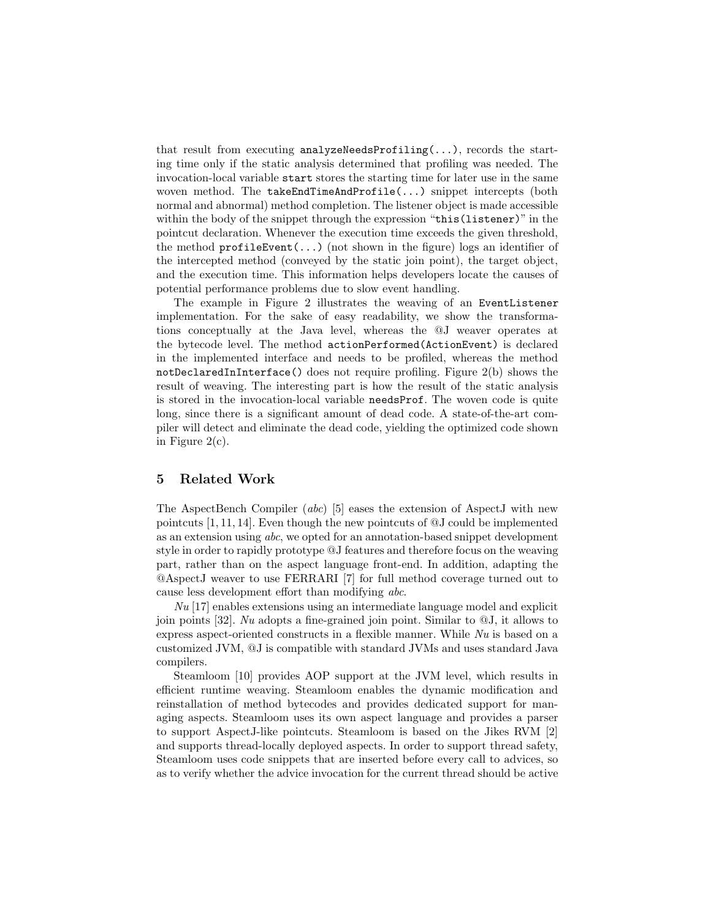that result from executing analyzeNeedsProfiling( $\ldots$ ), records the starting time only if the static analysis determined that profiling was needed. The invocation-local variable start stores the starting time for later use in the same woven method. The takeEndTimeAndProfile(...) snippet intercepts (both normal and abnormal) method completion. The listener object is made accessible within the body of the snippet through the expression "this (listener)" in the pointcut declaration. Whenever the execution time exceeds the given threshold, the method  $\text{profit}(\ldots)$  (not shown in the figure) logs an identifier of the intercepted method (conveyed by the static join point), the target object, and the execution time. This information helps developers locate the causes of potential performance problems due to slow event handling.

The example in Figure 2 illustrates the weaving of an EventListener implementation. For the sake of easy readability, we show the transformations conceptually at the Java level, whereas the @J weaver operates at the bytecode level. The method actionPerformed(ActionEvent) is declared in the implemented interface and needs to be profiled, whereas the method notDeclaredInInterface() does not require profiling. Figure 2(b) shows the result of weaving. The interesting part is how the result of the static analysis is stored in the invocation-local variable needsProf. The woven code is quite long, since there is a significant amount of dead code. A state-of-the-art compiler will detect and eliminate the dead code, yielding the optimized code shown in Figure  $2(c)$ .

#### **5 Related Work**

The AspectBench Compiler (*abc*) [5] eases the extension of AspectJ with new pointcuts [1,11,14]. Even though the new pointcuts of @J could be implemented as an extension using *abc*, we opted for an annotation-based snippet development style in order to rapidly prototype @J features and therefore focus on the weaving part, rather than on the aspect language front-end. In addition, adapting the @AspectJ weaver to use FERRARI [7] for full method coverage turned out to cause less development effort than modifying *abc*.

*Nu* [17] enables extensions using an intermediate language model and explicit join points [32]. *Nu* adopts a fine-grained join point. Similar to @J, it allows to express aspect-oriented constructs in a flexible manner. While *Nu* is based on a customized JVM, @J is compatible with standard JVMs and uses standard Java compilers.

Steamloom [10] provides AOP support at the JVM level, which results in efficient runtime weaving. Steamloom enables the dynamic modification and reinstallation of method bytecodes and provides dedicated support for managing aspects. Steamloom uses its own aspect language and provides a parser to support AspectJ-like pointcuts. Steamloom is based on the Jikes RVM [2] and supports thread-locally deployed aspects. In order to support thread safety, Steamloom uses code snippets that are inserted before every call to advices, so as to verify whether the advice invocation for the current thread should be active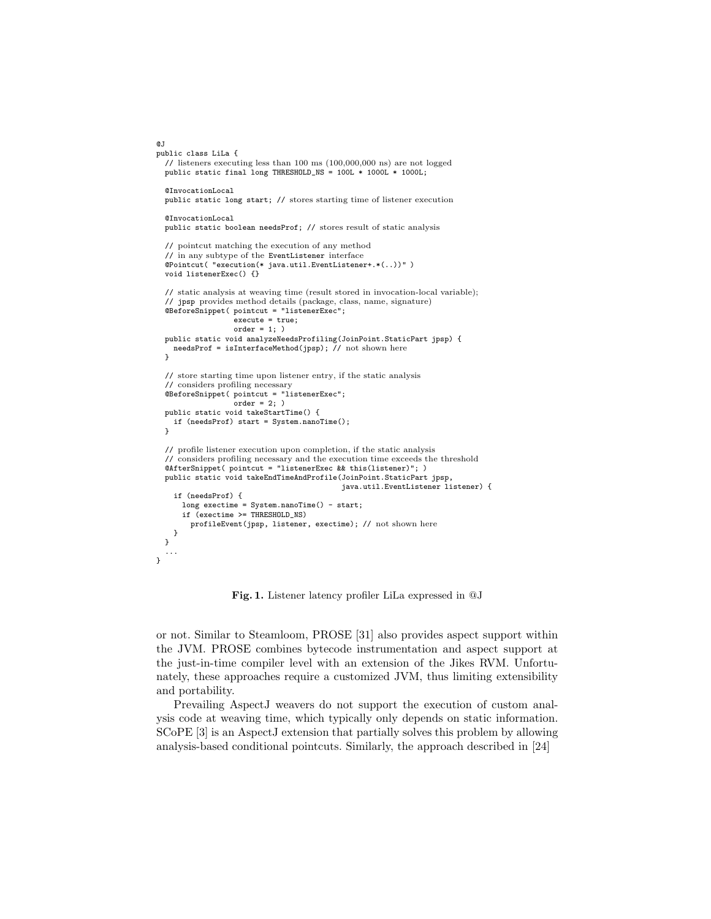```
\sigma.
public class LiLa {
  // listeners executing less than 100 ms (100,000,000 ns) are not logged
  public static final long THRESHOLD_NS = 100L * 1000L * 1000L;
  @InvocationLocal
 public static long start; // stores starting time of listener execution
 @InvocationLocal
  public static boolean needsProf; // stores result of static analysis
  // pointcut matching the execution of any method
  // in any subtype of the EventListener interface
  @Pointcut( "execution(* java.util.EventListener+.*(..))" )
 void listenerExec() {}
  // static analysis at weaving time (result stored in invocation-local variable);
  // jpsp provides method details (package, class, name, signature)
@BeforeSnippet( pointcut = "listenerExec";
                   execute = true;
                   order = 1: )public static void analyzeNeedsProfiling(JoinPoint.StaticPart jpsp) {
    needsProf = isInterfaceMethod(jpsp); // not shown here
  }
  // store starting time upon listener entry, if the static analysis
  // considers profiling necessary
  @BeforeSnippet( pointcut = "listenerExec";
                   order = 2; )
  public static void takeStartTime() {
    if (needsProf) start = System.nanoTime();
  }
  // profile listener execution upon completion, if the static analysis
  // considers profiling necessary and the execution time exceeds the threshold
  @AfterSnippet( pointcut = "listenerExec && this(listener)"; )
  public static void takeEndTimeAndProfile(JoinPoint.StaticPart jpsp,
                                             java.util.EventListener listener) {
    if (needsProf) {
      long exectime = System.nanoTime() - start;
      if (exectime >= THRESHOLD_NS)
        profileEvent(jpsp, listener, exectime); // not shown here
    }
  }
  ...
}
```
**Fig. 1.** Listener latency profiler LiLa expressed in @J

or not. Similar to Steamloom, PROSE [31] also provides aspect support within the JVM. PROSE combines bytecode instrumentation and aspect support at the just-in-time compiler level with an extension of the Jikes RVM. Unfortunately, these approaches require a customized JVM, thus limiting extensibility and portability.

Prevailing AspectJ weavers do not support the execution of custom analysis code at weaving time, which typically only depends on static information. SCoPE [3] is an AspectJ extension that partially solves this problem by allowing analysis-based conditional pointcuts. Similarly, the approach described in [24]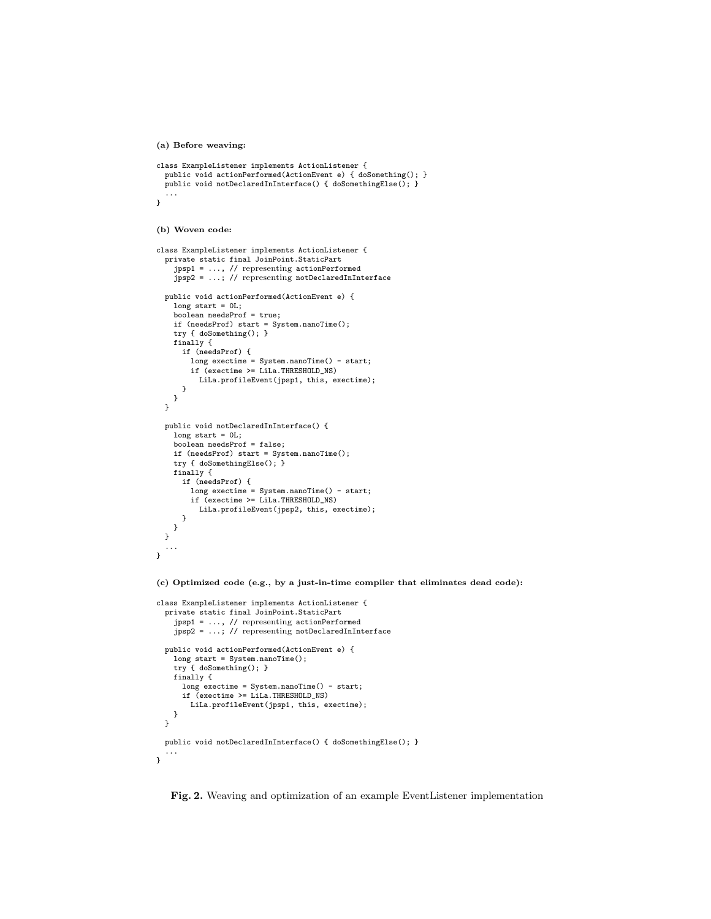**(a) Before weaving:**

```
class ExampleListener implements ActionListener {
 public void actionPerformed(ActionEvent e) { doSomething(); }
  public void notDeclaredInInterface() { doSomethingElse(); }
  ...
}
```
**(b) Woven code:**

```
class ExampleListener implements ActionListener {
 private static final JoinPoint.StaticPart
    jpsp1 = ..., // representing actionPerformed
    jpsp2 = ...; // representing notDeclaredInInterface
 public void actionPerformed(ActionEvent e) {
    long start = 0L;
    boolean needsProf = true;
    if (needsProf) start = System.nanoTime();
    try { doSomething(); }
    finally {
     if (needsProf) {
       long exectime = System.nanoTime() - start;
       if (exectime >= LiLa.THRESHOLD_NS)
          LiLa.profileEvent(jpsp1, this, exectime);
     }
  }
}
 public void notDeclaredInInterface() {
    long start = 0L;
    boolean needsProf = false;
    if (needsProf) start = System.nanoTime();
    try { doSomethingElse(); }
    finally {
     if (needsProf) {
       long exectime = System.nanoTime() - start;
       if (exectime >= LiLa.THRESHOLD_NS)
          LiLa.profileEvent(jpsp2, this, exectime);
     }
   }
 }
  ...
}
```
**(c) Optimized code (e.g., by a just-in-time compiler that eliminates dead code):**

```
class ExampleListener implements ActionListener {
 private static final JoinPoint.StaticPart
    jpsp1 = ..., // representing actionPerformed
    jpsp2 = ...; // representing notDeclaredInInterface
  public void actionPerformed(ActionEvent e) {
   long start = System.nanoTime();
    try { doSomething(); }
    finally {
      long exectime = System.nanoTime() - start;
      if (exectime >= LiLa.THRESHOLD_NS)
       LiLa.profileEvent(jpsp1, this, exectime);
   }
  }
  public void notDeclaredInInterface() { doSomethingElse(); }
  ...
}
```
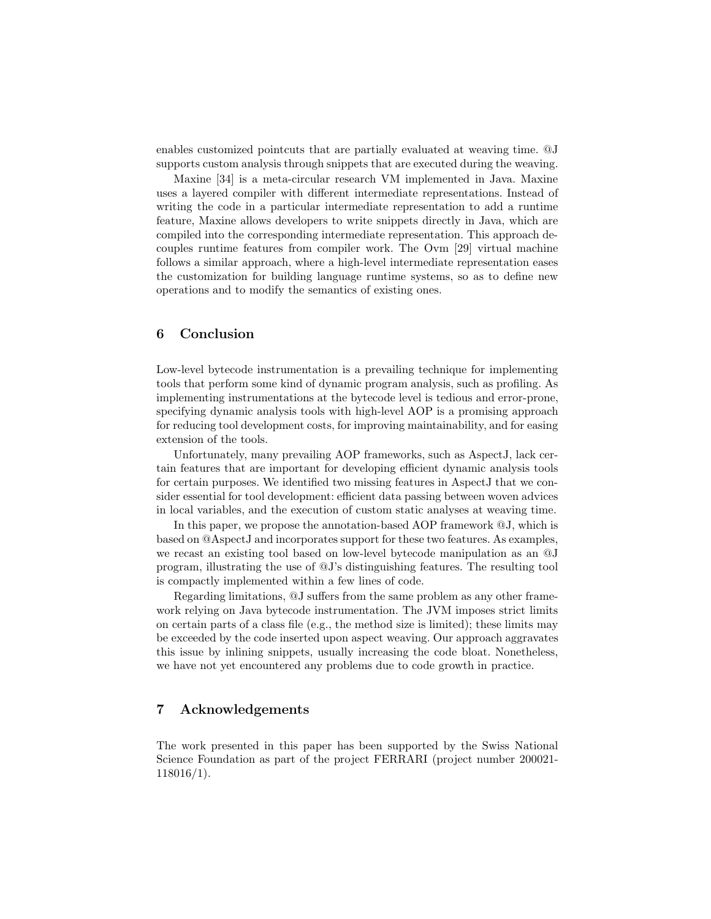enables customized pointcuts that are partially evaluated at weaving time. @J supports custom analysis through snippets that are executed during the weaving.

Maxine [34] is a meta-circular research VM implemented in Java. Maxine uses a layered compiler with different intermediate representations. Instead of writing the code in a particular intermediate representation to add a runtime feature, Maxine allows developers to write snippets directly in Java, which are compiled into the corresponding intermediate representation. This approach decouples runtime features from compiler work. The Ovm [29] virtual machine follows a similar approach, where a high-level intermediate representation eases the customization for building language runtime systems, so as to define new operations and to modify the semantics of existing ones.

# **6 Conclusion**

Low-level bytecode instrumentation is a prevailing technique for implementing tools that perform some kind of dynamic program analysis, such as profiling. As implementing instrumentations at the bytecode level is tedious and error-prone, specifying dynamic analysis tools with high-level AOP is a promising approach for reducing tool development costs, for improving maintainability, and for easing extension of the tools.

Unfortunately, many prevailing AOP frameworks, such as AspectJ, lack certain features that are important for developing efficient dynamic analysis tools for certain purposes. We identified two missing features in AspectJ that we consider essential for tool development: efficient data passing between woven advices in local variables, and the execution of custom static analyses at weaving time.

In this paper, we propose the annotation-based AOP framework @J, which is based on @AspectJ and incorporates support for these two features. As examples, we recast an existing tool based on low-level bytecode manipulation as an @J program, illustrating the use of @J's distinguishing features. The resulting tool is compactly implemented within a few lines of code.

Regarding limitations, @J suffers from the same problem as any other framework relying on Java bytecode instrumentation. The JVM imposes strict limits on certain parts of a class file (e.g., the method size is limited); these limits may be exceeded by the code inserted upon aspect weaving. Our approach aggravates this issue by inlining snippets, usually increasing the code bloat. Nonetheless, we have not yet encountered any problems due to code growth in practice.

# **7 Acknowledgements**

The work presented in this paper has been supported by the Swiss National Science Foundation as part of the project FERRARI (project number 200021- 118016/1).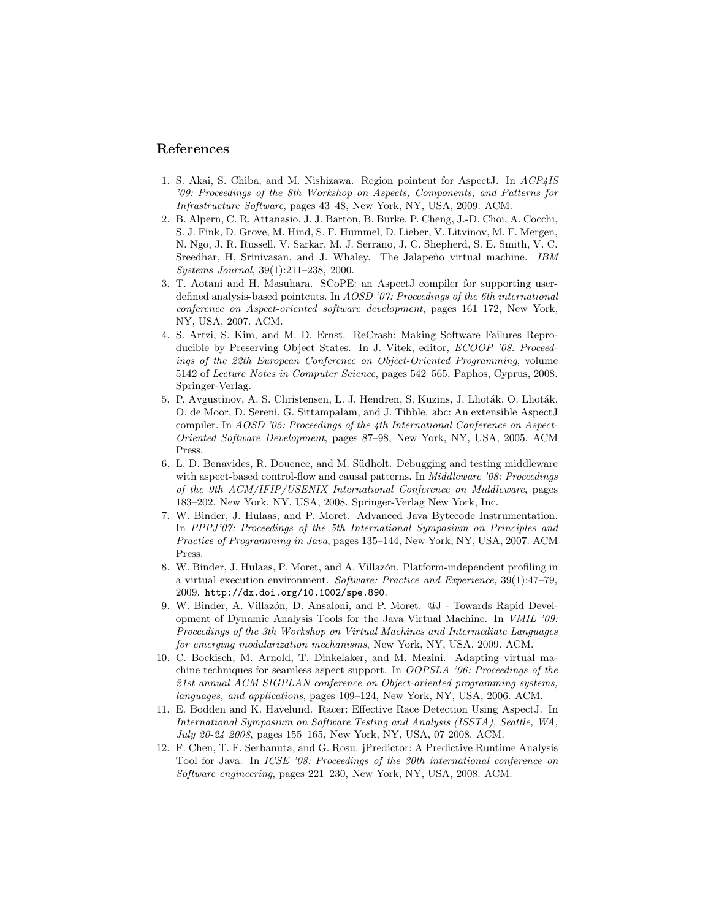### **References**

- 1. S. Akai, S. Chiba, and M. Nishizawa. Region pointcut for AspectJ. In *ACP4IS '09: Proceedings of the 8th Workshop on Aspects, Components, and Patterns for Infrastructure Software*, pages 43–48, New York, NY, USA, 2009. ACM.
- 2. B. Alpern, C. R. Attanasio, J. J. Barton, B. Burke, P. Cheng, J.-D. Choi, A. Cocchi, S. J. Fink, D. Grove, M. Hind, S. F. Hummel, D. Lieber, V. Litvinov, M. F. Mergen, N. Ngo, J. R. Russell, V. Sarkar, M. J. Serrano, J. C. Shepherd, S. E. Smith, V. C. Sreedhar, H. Srinivasan, and J. Whaley. The Jalapeño virtual machine. *IBM Systems Journal*, 39(1):211–238, 2000.
- 3. T. Aotani and H. Masuhara. SCoPE: an AspectJ compiler for supporting userdefined analysis-based pointcuts. In *AOSD '07: Proceedings of the 6th international conference on Aspect-oriented software development*, pages 161–172, New York, NY, USA, 2007. ACM.
- 4. S. Artzi, S. Kim, and M. D. Ernst. ReCrash: Making Software Failures Reproducible by Preserving Object States. In J. Vitek, editor, *ECOOP '08: Proceedings of the 22th European Conference on Object-Oriented Programming*, volume 5142 of *Lecture Notes in Computer Science*, pages 542–565, Paphos, Cyprus, 2008. Springer-Verlag.
- 5. P. Avgustinov, A. S. Christensen, L. J. Hendren, S. Kuzins, J. Lhoták, O. Lhoták, O. de Moor, D. Sereni, G. Sittampalam, and J. Tibble. abc: An extensible AspectJ compiler. In *AOSD '05: Proceedings of the 4th International Conference on Aspect-Oriented Software Development*, pages 87–98, New York, NY, USA, 2005. ACM Press.
- 6. L. D. Benavides, R. Douence, and M. Südholt. Debugging and testing middleware with aspect-based control-flow and causal patterns. In *Middleware '08: Proceedings of the 9th ACM/IFIP/USENIX International Conference on Middleware*, pages 183–202, New York, NY, USA, 2008. Springer-Verlag New York, Inc.
- 7. W. Binder, J. Hulaas, and P. Moret. Advanced Java Bytecode Instrumentation. In *PPPJ'07: Proceedings of the 5th International Symposium on Principles and Practice of Programming in Java*, pages 135–144, New York, NY, USA, 2007. ACM Press.
- 8. W. Binder, J. Hulaas, P. Moret, and A. Villazón. Platform-independent profiling in a virtual execution environment. *Software: Practice and Experience*, 39(1):47–79, 2009. http://dx.doi.org/10.1002/spe.890.
- 9. W. Binder, A. Villazón, D. Ansaloni, and P. Moret. @J Towards Rapid Development of Dynamic Analysis Tools for the Java Virtual Machine. In *VMIL '09: Proceedings of the 3th Workshop on Virtual Machines and Intermediate Languages for emerging modularization mechanisms*, New York, NY, USA, 2009. ACM.
- 10. C. Bockisch, M. Arnold, T. Dinkelaker, and M. Mezini. Adapting virtual machine techniques for seamless aspect support. In *OOPSLA '06: Proceedings of the 21st annual ACM SIGPLAN conference on Object-oriented programming systems, languages, and applications*, pages 109–124, New York, NY, USA, 2006. ACM.
- 11. E. Bodden and K. Havelund. Racer: Effective Race Detection Using AspectJ. In *International Symposium on Software Testing and Analysis (ISSTA), Seattle, WA, July 20-24 2008*, pages 155–165, New York, NY, USA, 07 2008. ACM.
- 12. F. Chen, T. F. Serbanuta, and G. Rosu. jPredictor: A Predictive Runtime Analysis Tool for Java. In *ICSE '08: Proceedings of the 30th international conference on Software engineering*, pages 221–230, New York, NY, USA, 2008. ACM.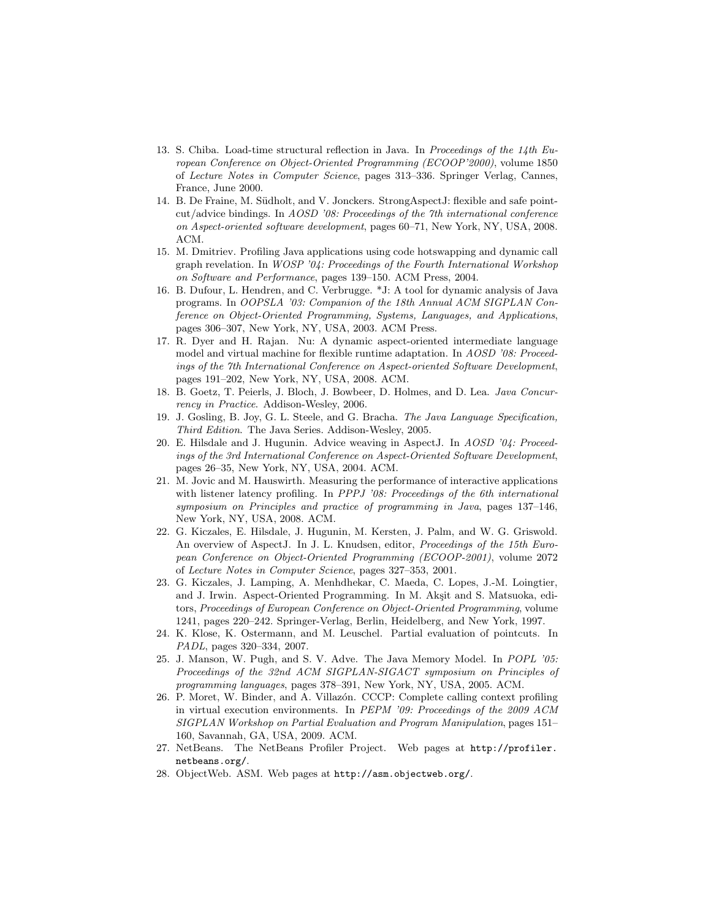- 13. S. Chiba. Load-time structural reflection in Java. In *Proceedings of the 14th European Conference on Object-Oriented Programming (ECOOP'2000)*, volume 1850 of *Lecture Notes in Computer Science*, pages 313–336. Springer Verlag, Cannes, France, June 2000.
- 14. B. De Fraine, M. Südholt, and V. Jonckers. StrongAspectJ: flexible and safe pointcut/advice bindings. In *AOSD '08: Proceedings of the 7th international conference on Aspect-oriented software development*, pages 60–71, New York, NY, USA, 2008. ACM.
- 15. M. Dmitriev. Profiling Java applications using code hotswapping and dynamic call graph revelation. In *WOSP '04: Proceedings of the Fourth International Workshop on Software and Performance*, pages 139–150. ACM Press, 2004.
- 16. B. Dufour, L. Hendren, and C. Verbrugge. \*J: A tool for dynamic analysis of Java programs. In *OOPSLA '03: Companion of the 18th Annual ACM SIGPLAN Conference on Object-Oriented Programming, Systems, Languages, and Applications*, pages 306–307, New York, NY, USA, 2003. ACM Press.
- 17. R. Dyer and H. Rajan. Nu: A dynamic aspect-oriented intermediate language model and virtual machine for flexible runtime adaptation. In *AOSD '08: Proceedings of the 7th International Conference on Aspect-oriented Software Development*, pages 191–202, New York, NY, USA, 2008. ACM.
- 18. B. Goetz, T. Peierls, J. Bloch, J. Bowbeer, D. Holmes, and D. Lea. *Java Concurrency in Practice*. Addison-Wesley, 2006.
- 19. J. Gosling, B. Joy, G. L. Steele, and G. Bracha. *The Java Language Specification, Third Edition*. The Java Series. Addison-Wesley, 2005.
- 20. E. Hilsdale and J. Hugunin. Advice weaving in AspectJ. In *AOSD '04: Proceedings of the 3rd International Conference on Aspect-Oriented Software Development*, pages 26–35, New York, NY, USA, 2004. ACM.
- 21. M. Jovic and M. Hauswirth. Measuring the performance of interactive applications with listener latency profiling. In *PPPJ '08: Proceedings of the 6th international symposium on Principles and practice of programming in Java*, pages 137–146, New York, NY, USA, 2008. ACM.
- 22. G. Kiczales, E. Hilsdale, J. Hugunin, M. Kersten, J. Palm, and W. G. Griswold. An overview of AspectJ. In J. L. Knudsen, editor, *Proceedings of the 15th European Conference on Object-Oriented Programming (ECOOP-2001)*, volume 2072 of *Lecture Notes in Computer Science*, pages 327–353, 2001.
- 23. G. Kiczales, J. Lamping, A. Menhdhekar, C. Maeda, C. Lopes, J.-M. Loingtier, and J. Irwin. Aspect-Oriented Programming. In M. Akşit and S. Matsuoka, editors, *Proceedings of European Conference on Object-Oriented Programming*, volume 1241, pages 220–242. Springer-Verlag, Berlin, Heidelberg, and New York, 1997.
- 24. K. Klose, K. Ostermann, and M. Leuschel. Partial evaluation of pointcuts. In *PADL*, pages 320–334, 2007.
- 25. J. Manson, W. Pugh, and S. V. Adve. The Java Memory Model. In *POPL '05: Proceedings of the 32nd ACM SIGPLAN-SIGACT symposium on Principles of programming languages*, pages 378–391, New York, NY, USA, 2005. ACM.
- 26. P. Moret, W. Binder, and A. Villaz´on. CCCP: Complete calling context profiling in virtual execution environments. In *PEPM '09: Proceedings of the 2009 ACM SIGPLAN Workshop on Partial Evaluation and Program Manipulation*, pages 151– 160, Savannah, GA, USA, 2009. ACM.
- 27. NetBeans. The NetBeans Profiler Project. Web pages at http://profiler. netbeans.org/.
- 28. ObjectWeb. ASM. Web pages at http://asm.objectweb.org/.